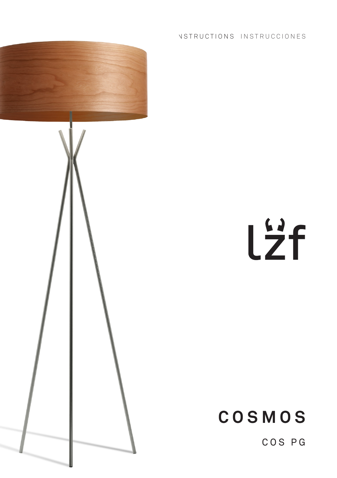

### INSTRUCTIONS INSTRUCCIONES

Lzf

# **COSMOS**

COS PG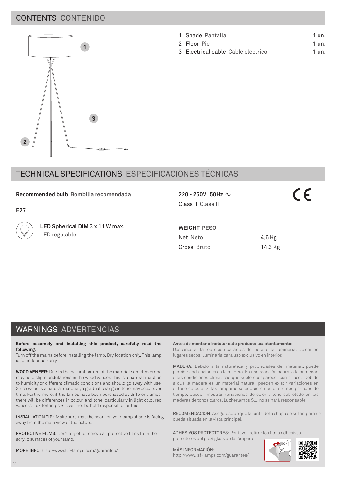### CONTENTS CONTENIDO



#### 1 Shade Pantalla 1 un.

- 2 Floor Pie 1 un.
- 3 Electrical cable Cable eléctrico  $1 \text{µm}$

### TECHNICAL SPECIFICATIONS ESPECIFICACIONES TÉCNICAS

### **Recommended bulb Bombilla recomendada**

**E27**

**LED Spherical DIM** 3 x 11 W max. LED regulable

Class II Clase II

**WEIGHT PESO**

Net Neto 4,6 Kg Gross Bruto 14.3 Kg

## WARNINGS ADVERTENCIAS

**Before assembly and installing this product, carefully read the following**:

Turn off the mains before installing the lamp. Dry location only. This lamp is for indoor use only.

**WOOD VENEER**: Due to the natural nature of the material sometimes one may note slight ondulations in the wood veneer. This is a natural reaction to humidity or different climatic conditions and should go away with use. Since wood is a natural material, a gradual change in tone may occur over time. Furthermore, if the lamps have been purchased at different times, there will be differences in colour and tone, particularly in light coloured veneers. Luziferlamps S.L. will not be held responsible for this.

INSTALLATION TIP: Make sure that the seam on your lamp shade is facing away from the main view of the fixture.

PROTECTIVE FILMS: Don't forget to remove all protective films from the acrylic surfaces of your lamp.

MORE INFO: http://www.lzf-lamps.com/guarantee/

**Antes de montar e instalar este producto lea atentamente**:

Desconectar la red eléctrica antes de instalar la luminaria. Ubicar en lugares secos. Luminaria para uso exclusivo en interior.

**MADERA**: Debido a la naturaleza y propiedades del material, puede percibir ondulaciones en la madera. Es una reacción naural a la humedad o las condiciones climáticas que suele desaparecer con el uso. Debido a que la madera es un material natural, pueden existir variaciones en el tono de ésta. Si las lámparas se adquieren en diferentes periodos de tiempo, pueden mostrar variaciones de color y tono sobretodo en las maderas de tonos claros. Luziferlamps S.L. no se hará responsable.

RECOMENDACIÓN: Asegúrese de que la junta de la chapa de su lámpara no queda situada en la vista principal.

ADHESIVOS PROTECTORES: Por favor, retirar los films adhesivos protectores del plexi glass de la lámpara.

MÁS INFORMACIÓN:

http://www.lzf-lamps.com/guarantee/



 $C \in$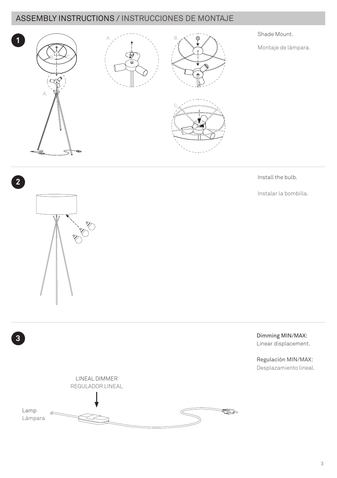### ASSEMBLY INSTRUCTIONS / INSTRUCCIONES DE MONTAJE



Install the bulb.

Instalar la bombilla.



**2**

**3**LINEAL DIMMER REGULADOR LINEAL Lamp **RESP** Lámpara

 Dimming MIN/MAX: Linear displacement.

 Regulación MIN/MAX: Desplazamiento lineal.